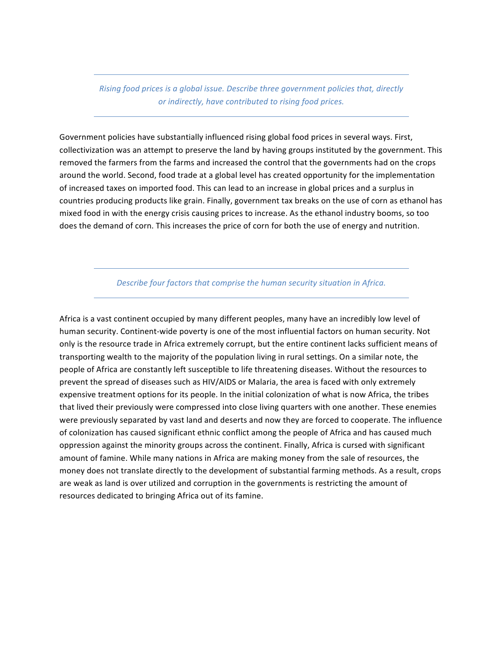*Rising food prices is a global issue. Describe three government policies that, directly or indirectly, have contributed to rising food prices.* 

Government policies have substantially influenced rising global food prices in several ways. First, collectivization was an attempt to preserve the land by having groups instituted by the government. This removed the farmers from the farms and increased the control that the governments had on the crops around the world. Second, food trade at a global level has created opportunity for the implementation of increased taxes on imported food. This can lead to an increase in global prices and a surplus in countries producing products like grain. Finally, government tax breaks on the use of corn as ethanol has mixed food in with the energy crisis causing prices to increase. As the ethanol industry booms, so too does the demand of corn. This increases the price of corn for both the use of energy and nutrition.

Describe four factors that comprise the human security situation in Africa.

Africa is a vast continent occupied by many different peoples, many have an incredibly low level of human security. Continent-wide poverty is one of the most influential factors on human security. Not only is the resource trade in Africa extremely corrupt, but the entire continent lacks sufficient means of transporting wealth to the majority of the population living in rural settings. On a similar note, the people of Africa are constantly left susceptible to life threatening diseases. Without the resources to prevent the spread of diseases such as HIV/AIDS or Malaria, the area is faced with only extremely expensive treatment options for its people. In the initial colonization of what is now Africa, the tribes that lived their previously were compressed into close living quarters with one another. These enemies were previously separated by vast land and deserts and now they are forced to cooperate. The influence of colonization has caused significant ethnic conflict among the people of Africa and has caused much oppression against the minority groups across the continent. Finally, Africa is cursed with significant amount of famine. While many nations in Africa are making money from the sale of resources, the money does not translate directly to the development of substantial farming methods. As a result, crops are weak as land is over utilized and corruption in the governments is restricting the amount of resources dedicated to bringing Africa out of its famine.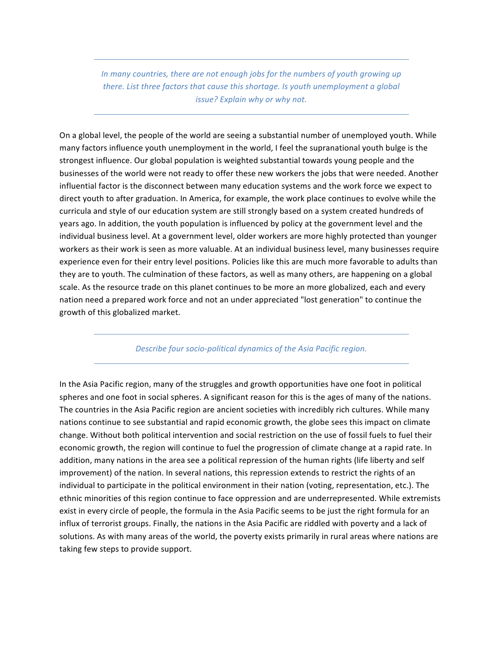*In* many countries, there are not enough jobs for the numbers of youth growing up *there. List three factors that cause this shortage. Is youth unemployment a global issue?* Explain why or why not.

On a global level, the people of the world are seeing a substantial number of unemployed youth. While many factors influence youth unemployment in the world, I feel the supranational youth bulge is the strongest influence. Our global population is weighted substantial towards young people and the businesses of the world were not ready to offer these new workers the jobs that were needed. Another influential factor is the disconnect between many education systems and the work force we expect to direct youth to after graduation. In America, for example, the work place continues to evolve while the curricula and style of our education system are still strongly based on a system created hundreds of years ago. In addition, the youth population is influenced by policy at the government level and the individual business level. At a government level, older workers are more highly protected than younger workers as their work is seen as more valuable. At an individual business level, many businesses require experience even for their entry level positions. Policies like this are much more favorable to adults than they are to youth. The culmination of these factors, as well as many others, are happening on a global scale. As the resource trade on this planet continues to be more an more globalized, each and every nation need a prepared work force and not an under appreciated "lost generation" to continue the growth of this globalized market.

## **Describe four socio-political dynamics of the Asia Pacific region.**

In the Asia Pacific region, many of the struggles and growth opportunities have one foot in political spheres and one foot in social spheres. A significant reason for this is the ages of many of the nations. The countries in the Asia Pacific region are ancient societies with incredibly rich cultures. While many nations continue to see substantial and rapid economic growth, the globe sees this impact on climate change. Without both political intervention and social restriction on the use of fossil fuels to fuel their economic growth, the region will continue to fuel the progression of climate change at a rapid rate. In addition, many nations in the area see a political repression of the human rights (life liberty and self improvement) of the nation. In several nations, this repression extends to restrict the rights of an individual to participate in the political environment in their nation (voting, representation, etc.). The ethnic minorities of this region continue to face oppression and are underrepresented. While extremists exist in every circle of people, the formula in the Asia Pacific seems to be just the right formula for an influx of terrorist groups. Finally, the nations in the Asia Pacific are riddled with poverty and a lack of solutions. As with many areas of the world, the poverty exists primarily in rural areas where nations are taking few steps to provide support.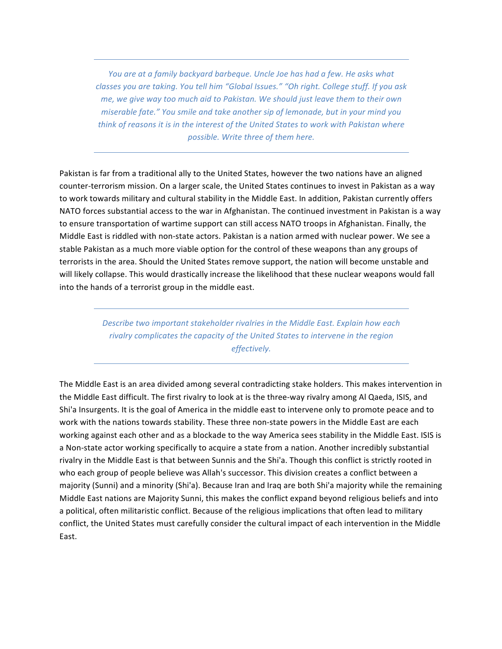*You* are at a family backyard barbeque. Uncle Joe has had a few. He asks what *classes you are taking. You tell him "Global Issues." "Oh right. College stuff. If you ask me,* we give way too much aid to Pakistan. We should just leave them to their own *miserable fate."* You *smile and take another sip of lemonade, but in your mind you think* of reasons it is in the interest of the United States to work with Pakistan where *possible.* Write three of them here.

Pakistan is far from a traditional ally to the United States, however the two nations have an aligned counter-terrorism mission. On a larger scale, the United States continues to invest in Pakistan as a way to work towards military and cultural stability in the Middle East. In addition, Pakistan currently offers NATO forces substantial access to the war in Afghanistan. The continued investment in Pakistan is a way to ensure transportation of wartime support can still access NATO troops in Afghanistan. Finally, the Middle East is riddled with non-state actors. Pakistan is a nation armed with nuclear power. We see a stable Pakistan as a much more viable option for the control of these weapons than any groups of terrorists in the area. Should the United States remove support, the nation will become unstable and will likely collapse. This would drastically increase the likelihood that these nuclear weapons would fall into the hands of a terrorist group in the middle east.

> Describe two important stakeholder rivalries in the Middle East. Explain how each rivalry complicates the capacity of the United States to intervene in the region *effectively.*

The Middle East is an area divided among several contradicting stake holders. This makes intervention in the Middle East difficult. The first rivalry to look at is the three-way rivalry among Al Qaeda, ISIS, and Shi'a Insurgents. It is the goal of America in the middle east to intervene only to promote peace and to work with the nations towards stability. These three non-state powers in the Middle East are each working against each other and as a blockade to the way America sees stability in the Middle East. ISIS is a Non-state actor working specifically to acquire a state from a nation. Another incredibly substantial rivalry in the Middle East is that between Sunnis and the Shi'a. Though this conflict is strictly rooted in who each group of people believe was Allah's successor. This division creates a conflict between a majority (Sunni) and a minority (Shi'a). Because Iran and Iraq are both Shi'a majority while the remaining Middle East nations are Majority Sunni, this makes the conflict expand beyond religious beliefs and into a political, often militaristic conflict. Because of the religious implications that often lead to military conflict, the United States must carefully consider the cultural impact of each intervention in the Middle East.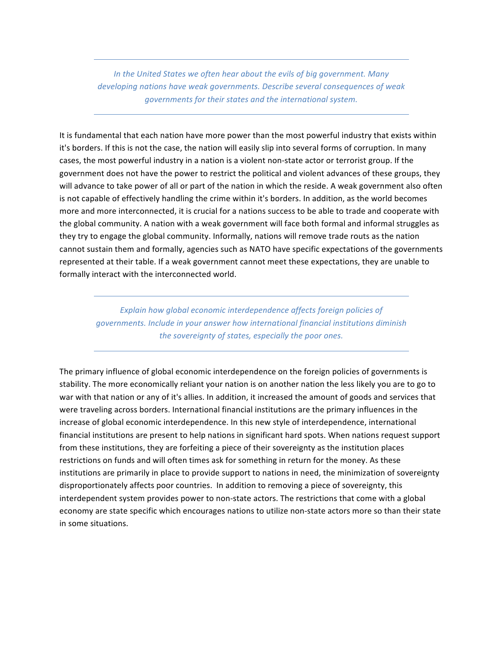In the United States we often hear about the evils of big government. Many developing nations have weak governments. Describe several consequences of weak *governments for their states and the international system.* 

It is fundamental that each nation have more power than the most powerful industry that exists within it's borders. If this is not the case, the nation will easily slip into several forms of corruption. In many cases, the most powerful industry in a nation is a violent non-state actor or terrorist group. If the government does not have the power to restrict the political and violent advances of these groups, they will advance to take power of all or part of the nation in which the reside. A weak government also often is not capable of effectively handling the crime within it's borders. In addition, as the world becomes more and more interconnected, it is crucial for a nations success to be able to trade and cooperate with the global community. A nation with a weak government will face both formal and informal struggles as they try to engage the global community. Informally, nations will remove trade routs as the nation cannot sustain them and formally, agencies such as NATO have specific expectations of the governments represented at their table. If a weak government cannot meet these expectations, they are unable to formally interact with the interconnected world.

Explain how global economic interdependence affects foreign policies of *governments. Include in your answer how international financial institutions diminish* the sovereignty of states, especially the poor ones.

The primary influence of global economic interdependence on the foreign policies of governments is stability. The more economically reliant your nation is on another nation the less likely you are to go to war with that nation or any of it's allies. In addition, it increased the amount of goods and services that were traveling across borders. International financial institutions are the primary influences in the increase of global economic interdependence. In this new style of interdependence, international financial institutions are present to help nations in significant hard spots. When nations request support from these institutions, they are forfeiting a piece of their sovereignty as the institution places restrictions on funds and will often times ask for something in return for the money. As these institutions are primarily in place to provide support to nations in need, the minimization of sovereignty disproportionately affects poor countries. In addition to removing a piece of sovereignty, this interdependent system provides power to non-state actors. The restrictions that come with a global economy are state specific which encourages nations to utilize non-state actors more so than their state in some situations.